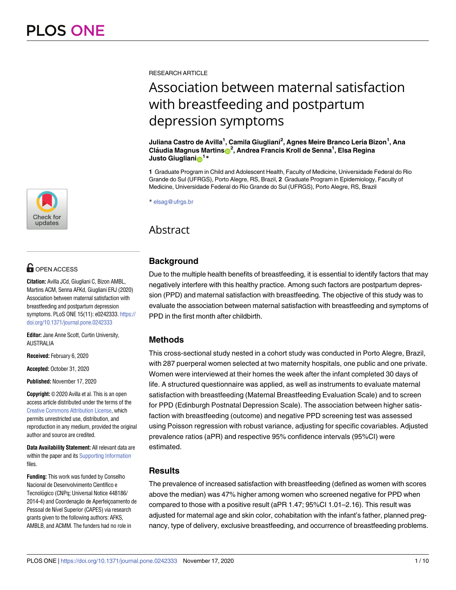RESEARCH ARTICLE

# Association between maternal satisfaction with breastfeeding and postpartum depression symptoms

**Juliana Castro de Avilla1 , Camila Giugliani2 , Agnes Meire Branco Leria Bizon1 , Ana Cla´udia Magnus Martins[ID2](https://orcid.org/0000-0003-1413-1098) , Andrea Francis Kroll de Senna1 , Elsa Regina**  $\frac{1}{2}$ **Justo Giugliani** 

**1** Graduate Program in Child and Adolescent Health, Faculty of Medicine, Universidade Federal do Rio Grande do Sul (UFRGS), Porto Alegre, RS, Brazil, **2** Graduate Program in Epidemiology, Faculty of Medicine, Universidade Federal do Rio Grande do Sul (UFRGS), Porto Alegre, RS, Brazil

\* elsag@ufrgs.br

# Abstract

# **Background**

Due to the multiple health benefits of breastfeeding, it is essential to identify factors that may negatively interfere with this healthy practice. Among such factors are postpartum depression (PPD) and maternal satisfaction with breastfeeding. The objective of this study was to evaluate the association between maternal satisfaction with breastfeeding and symptoms of PPD in the first month after childbirth.

# **Methods**

This cross-sectional study nested in a cohort study was conducted in Porto Alegre, Brazil, with 287 puerperal women selected at two maternity hospitals, one public and one private. Women were interviewed at their homes the week after the infant completed 30 days of life. A structured questionnaire was applied, as well as instruments to evaluate maternal satisfaction with breastfeeding (Maternal Breastfeeding Evaluation Scale) and to screen for PPD (Edinburgh Postnatal Depression Scale). The association between higher satisfaction with breastfeeding (outcome) and negative PPD screening test was assessed using Poisson regression with robust variance, adjusting for specific covariables. Adjusted prevalence ratios (aPR) and respective 95% confidence intervals (95%CI) were estimated.

# **Results**

The prevalence of increased satisfaction with breastfeeding (defined as women with scores above the median) was 47% higher among women who screened negative for PPD when compared to those with a positive result (aPR 1.47; 95%CI 1.01–2.16). This result was adjusted for maternal age and skin color, cohabitation with the infant's father, planned pregnancy, type of delivery, exclusive breastfeeding, and occurrence of breastfeeding problems.



# $\blacksquare$  OPEN ACCESS

**Citation:** Avilla JCd, Giugliani C, Bizon AMBL, Martins ACM, Senna AFKd, Giugliani ERJ (2020) Association between maternal satisfaction with breastfeeding and postpartum depression symptoms. PLoS ONE 15(11): e0242333. [https://](https://doi.org/10.1371/journal.pone.0242333) [doi.org/10.1371/journal.pone.0242333](https://doi.org/10.1371/journal.pone.0242333)

**Editor:** Jane Anne Scott, Curtin University, AUSTRALIA

**Received:** February 6, 2020

**Accepted:** October 31, 2020

**Published:** November 17, 2020

**Copyright:** © 2020 Avilla et al. This is an open access article distributed under the terms of the Creative Commons [Attribution](http://creativecommons.org/licenses/by/4.0/) License, which permits unrestricted use, distribution, and reproduction in any medium, provided the original author and source are credited.

**Data Availability Statement:** All relevant data are within the paper and its Supporting [Information](#page-7-0) files.

**Funding:** This work was funded by Conselho Nacional de Desenvolvimento Científico e Tecnológico (CNPq; Universal Notice 448186/ 2014-4) and Coordenação de Aperfeicoamento de Pessoal de Nível Superior (CAPES) via research grants given to the following authors: AFKS, AMBLB, and ACMM. The funders had no role in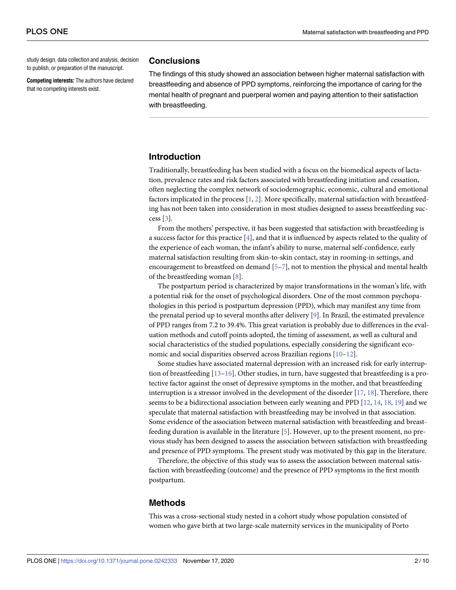<span id="page-1-0"></span>study design, data collection and analysis, decision to publish, or preparation of the manuscript.

**Competing interests:** The authors have declared that no competing interests exist.

#### **Conclusions**

The findings of this study showed an association between higher maternal satisfaction with breastfeeding and absence of PPD symptoms, reinforcing the importance of caring for the mental health of pregnant and puerperal women and paying attention to their satisfaction with breastfeeding.

# **Introduction**

Traditionally, breastfeeding has been studied with a focus on the biomedical aspects of lactation, prevalence rates and risk factors associated with breastfeeding initiation and cessation, often neglecting the complex network of sociodemographic, economic, cultural and emotional factors implicated in the process  $[1, 2]$  $[1, 2]$  $[1, 2]$  $[1, 2]$ . More specifically, maternal satisfaction with breastfeeding has not been taken into consideration in most studies designed to assess breastfeeding success [\[3](#page-7-0)].

From the mothers' perspective, it has been suggested that satisfaction with breastfeeding is a success factor for this practice [[4\]](#page-7-0), and that it is influenced by aspects related to the quality of the experience of each woman, the infant's ability to nurse, maternal self-confidence, early maternal satisfaction resulting from skin-to-skin contact, stay in rooming-in settings, and encouragement to breastfeed on demand [[5](#page-7-0)[–7](#page-8-0)], not to mention the physical and mental health of the breastfeeding woman [[8\]](#page-8-0).

The postpartum period is characterized by major transformations in the woman's life, with a potential risk for the onset of psychological disorders. One of the most common psychopathologies in this period is postpartum depression (PPD), which may manifest any time from the prenatal period up to several months after delivery [[9](#page-8-0)]. In Brazil, the estimated prevalence of PPD ranges from 7.2 to 39.4%. This great variation is probably due to differences in the evaluation methods and cutoff points adopted, the timing of assessment, as well as cultural and social characteristics of the studied populations, especially considering the significant economic and social disparities observed across Brazilian regions [\[10–12\]](#page-8-0).

Some studies have associated maternal depression with an increased risk for early interruption of breastfeeding [\[13–16\]](#page-8-0). Other studies, in turn, have suggested that breastfeeding is a protective factor against the onset of depressive symptoms in the mother, and that breastfeeding interruption is a stressor involved in the development of the disorder  $[17, 18]$  $[17, 18]$  $[17, 18]$ . Therefore, there seems to be a bidirectional association between early weaning and PPD [[12](#page-8-0), [14](#page-8-0), [18](#page-8-0), [19](#page-8-0)] and we speculate that maternal satisfaction with breastfeeding may be involved in that association. Some evidence of the association between maternal satisfaction with breastfeeding and breastfeeding duration is available in the literature [\[5\]](#page-7-0). However, up to the present moment, no previous study has been designed to assess the association between satisfaction with breastfeeding and presence of PPD symptoms. The present study was motivated by this gap in the literature.

Therefore, the objective of this study was to assess the association between maternal satisfaction with breastfeeding (outcome) and the presence of PPD symptoms in the first month postpartum.

#### **Methods**

This was a cross-sectional study nested in a cohort study whose population consisted of women who gave birth at two large-scale maternity services in the municipality of Porto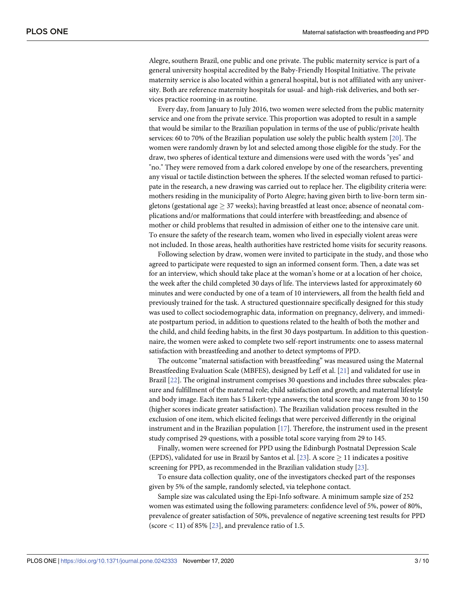<span id="page-2-0"></span>Alegre, southern Brazil, one public and one private. The public maternity service is part of a general university hospital accredited by the Baby-Friendly Hospital Initiative. The private maternity service is also located within a general hospital, but is not affiliated with any university. Both are reference maternity hospitals for usual- and high-risk deliveries, and both services practice rooming-in as routine.

Every day, from January to July 2016, two women were selected from the public maternity service and one from the private service. This proportion was adopted to result in a sample that would be similar to the Brazilian population in terms of the use of public/private health services: 60 to 70% of the Brazilian population use solely the public health system [\[20\]](#page-8-0). The women were randomly drawn by lot and selected among those eligible for the study. For the draw, two spheres of identical texture and dimensions were used with the words "yes" and "no." They were removed from a dark colored envelope by one of the researchers, preventing any visual or tactile distinction between the spheres. If the selected woman refused to participate in the research, a new drawing was carried out to replace her. The eligibility criteria were: mothers residing in the municipality of Porto Alegre; having given birth to live-born term singletons (gestational age  $> 37$  weeks); having breastfed at least once; absence of neonatal complications and/or malformations that could interfere with breastfeeding; and absence of mother or child problems that resulted in admission of either one to the intensive care unit. To ensure the safety of the research team, women who lived in especially violent areas were not included. In those areas, health authorities have restricted home visits for security reasons.

Following selection by draw, women were invited to participate in the study, and those who agreed to participate were requested to sign an informed consent form. Then, a date was set for an interview, which should take place at the woman's home or at a location of her choice, the week after the child completed 30 days of life. The interviews lasted for approximately 60 minutes and were conducted by one of a team of 10 interviewers, all from the health field and previously trained for the task. A structured questionnaire specifically designed for this study was used to collect sociodemographic data, information on pregnancy, delivery, and immediate postpartum period, in addition to questions related to the health of both the mother and the child, and child feeding habits, in the first 30 days postpartum. In addition to this questionnaire, the women were asked to complete two self-report instruments: one to assess maternal satisfaction with breastfeeding and another to detect symptoms of PPD.

The outcome "maternal satisfaction with breastfeeding" was measured using the Maternal Breastfeeding Evaluation Scale (MBFES), designed by Leff et al. [\[21\]](#page-8-0) and validated for use in Brazil [[22](#page-8-0)]. The original instrument comprises 30 questions and includes three subscales: pleasure and fulfillment of the maternal role; child satisfaction and growth; and maternal lifestyle and body image. Each item has 5 Likert-type answers; the total score may range from 30 to 150 (higher scores indicate greater satisfaction). The Brazilian validation process resulted in the exclusion of one item, which elicited feelings that were perceived differently in the original instrument and in the Brazilian population  $[17]$ . Therefore, the instrument used in the present study comprised 29 questions, with a possible total score varying from 29 to 145.

Finally, women were screened for PPD using the Edinburgh Postnatal Depression Scale (EPDS), validated for use in Brazil by Santos et al. [\[23\]](#page-8-0). A score  $\geq$  11 indicates a positive screening for PPD, as recommended in the Brazilian validation study [\[23\]](#page-8-0).

To ensure data collection quality, one of the investigators checked part of the responses given by 5% of the sample, randomly selected, via telephone contact.

Sample size was calculated using the Epi-Info software. A minimum sample size of 252 women was estimated using the following parameters: confidence level of 5%, power of 80%, prevalence of greater satisfaction of 50%, prevalence of negative screening test results for PPD (score *<* 11) of 85% [\[23\]](#page-8-0), and prevalence ratio of 1.5.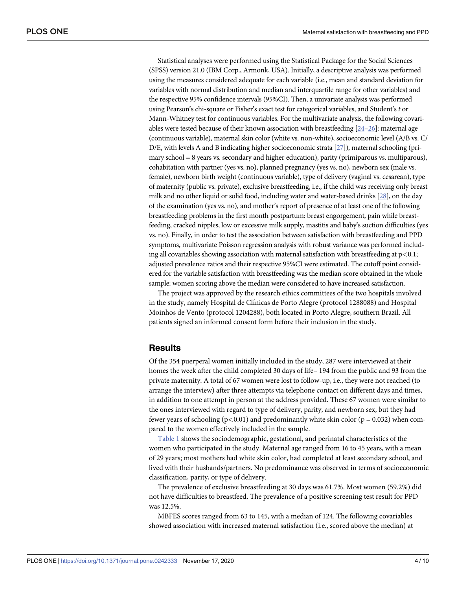<span id="page-3-0"></span>Statistical analyses were performed using the Statistical Package for the Social Sciences (SPSS) version 21.0 (IBM Corp., Armonk, USA). Initially, a descriptive analysis was performed using the measures considered adequate for each variable (i.e., mean and standard deviation for variables with normal distribution and median and interquartile range for other variables) and the respective 95% confidence intervals (95%CI). Then, a univariate analysis was performed using Pearson's chi-square or Fisher's exact test for categorical variables, and Student's *t* or Mann-Whitney test for continuous variables. For the multivariate analysis, the following covariables were tested because of their known association with breastfeeding  $[24-26]$  $[24-26]$ : maternal age (continuous variable), maternal skin color (white vs. non-white), socioeconomic level (A/B vs. C/ D/E, with levels A and B indicating higher socioeconomic strata [\[27](#page-9-0)]), maternal schooling (primary school  $= 8$  years vs. secondary and higher education), parity (primiparous vs. multiparous), cohabitation with partner (yes vs. no), planned pregnancy (yes vs. no), newborn sex (male vs. female), newborn birth weight (continuous variable), type of delivery (vaginal vs. cesarean), type of maternity (public vs. private), exclusive breastfeeding, i.e., if the child was receiving only breast milk and no other liquid or solid food, including water and water-based drinks [[28\]](#page-9-0), on the day of the examination (yes vs. no), and mother's report of presence of at least one of the following breastfeeding problems in the first month postpartum: breast engorgement, pain while breastfeeding, cracked nipples, low or excessive milk supply, mastitis and baby's suction difficulties (yes vs. no). Finally, in order to test the association between satisfaction with breastfeeding and PPD symptoms, multivariate Poisson regression analysis with robust variance was performed including all covariables showing association with maternal satisfaction with breastfeeding at p*<*0.1; adjusted prevalence ratios and their respective 95%CI were estimated. The cutoff point considered for the variable satisfaction with breastfeeding was the median score obtained in the whole sample: women scoring above the median were considered to have increased satisfaction.

The project was approved by the research ethics committees of the two hospitals involved in the study, namely Hospital de Clínicas de Porto Alegre (protocol 1288088) and Hospital Moinhos de Vento (protocol 1204288), both located in Porto Alegre, southern Brazil. All patients signed an informed consent form before their inclusion in the study.

#### **Results**

Of the 354 puerperal women initially included in the study, 287 were interviewed at their homes the week after the child completed 30 days of life– 194 from the public and 93 from the private maternity. A total of 67 women were lost to follow-up, i.e., they were not reached (to arrange the interview) after three attempts via telephone contact on different days and times, in addition to one attempt in person at the address provided. These 67 women were similar to the ones interviewed with regard to type of delivery, parity, and newborn sex, but they had fewer years of schooling ( $p$ <0.01) and predominantly white skin color ( $p = 0.032$ ) when compared to the women effectively included in the sample.

[Table](#page-4-0) 1 shows the sociodemographic, gestational, and perinatal characteristics of the women who participated in the study. Maternal age ranged from 16 to 45 years, with a mean of 29 years; most mothers had white skin color, had completed at least secondary school, and lived with their husbands/partners. No predominance was observed in terms of socioeconomic classification, parity, or type of delivery.

The prevalence of exclusive breastfeeding at 30 days was 61.7%. Most women (59.2%) did not have difficulties to breastfeed. The prevalence of a positive screening test result for PPD was 12.5%.

MBFES scores ranged from 63 to 145, with a median of 124. The following covariables showed association with increased maternal satisfaction (i.e., scored above the median) at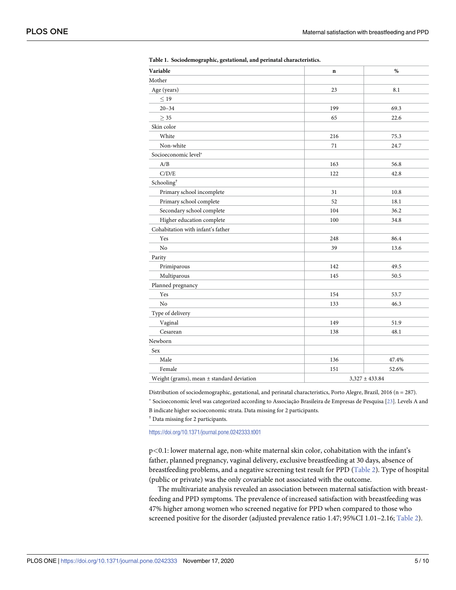<span id="page-4-0"></span>

| Variable                                      | $\mathbf n$ | %                  |  |  |
|-----------------------------------------------|-------------|--------------------|--|--|
| Mother                                        |             |                    |  |  |
| Age (years)                                   | 23          | 8.1                |  |  |
| $\leq 19$                                     |             |                    |  |  |
| $20 - 34$                                     | 199         | 69.3               |  |  |
| $\geq 35$                                     | 65          | 22.6               |  |  |
| Skin color                                    |             |                    |  |  |
| White                                         | 216         | 75.3               |  |  |
| Non-white                                     | 71          | 24.7               |  |  |
| Socioeconomic level*                          |             |                    |  |  |
| A/B                                           | 163         | 56.8               |  |  |
| C/D/E                                         | 122         | 42.8               |  |  |
| Schooling <sup>†</sup>                        |             |                    |  |  |
| Primary school incomplete                     | 31          | 10.8               |  |  |
| Primary school complete                       | 52          | 18.1               |  |  |
| Secondary school complete                     | 104         | 36.2               |  |  |
| Higher education complete                     | 100         | 34.8               |  |  |
| Cohabitation with infant's father             |             |                    |  |  |
| Yes                                           | 248         | 86.4               |  |  |
| No                                            | 39          | 13.6               |  |  |
| Parity                                        |             |                    |  |  |
| Primiparous                                   | 142         | 49.5               |  |  |
| Multiparous                                   | 145         | 50.5               |  |  |
| Planned pregnancy                             |             |                    |  |  |
| Yes                                           | 154         | 53.7               |  |  |
| No                                            | 133         | 46.3               |  |  |
| Type of delivery                              |             |                    |  |  |
| Vaginal                                       | 149         | 51.9               |  |  |
| Cesarean                                      | 138         | 48.1               |  |  |
| Newborn                                       |             |                    |  |  |
| Sex                                           |             |                    |  |  |
| Male                                          | 136         | 47.4%              |  |  |
| Female                                        | 151         | 52.6%              |  |  |
| Weight (grams), mean $\pm$ standard deviation |             | $3,327 \pm 433.84$ |  |  |
|                                               |             |                    |  |  |

**[Table](#page-3-0) 1. Sociodemographic, gestational, and perinatal characteristics.**

Distribution of sociodemographic, gestational, and perinatal characteristics, Porto Alegre, Brazil, 2016 (n = 287). \* Socioeconomic level was categorized according to Associação Brasileira de Empresas de Pesquisa [[23\]](#page-8-0). Levels A and B indicate higher socioeconomic strata. Data missing for 2 participants.

† Data missing for 2 participants.

<https://doi.org/10.1371/journal.pone.0242333.t001>

p*<*0.1: lower maternal age, non-white maternal skin color, cohabitation with the infant's father, planned pregnancy, vaginal delivery, exclusive breastfeeding at 30 days, absence of breastfeeding problems, and a negative screening test result for PPD [\(Table](#page-5-0) 2). Type of hospital (public or private) was the only covariable not associated with the outcome.

The multivariate analysis revealed an association between maternal satisfaction with breastfeeding and PPD symptoms. The prevalence of increased satisfaction with breastfeeding was 47% higher among women who screened negative for PPD when compared to those who screened positive for the disorder (adjusted prevalence ratio 1.47; 95%CI 1.01-2.16; [Table](#page-5-0) 2).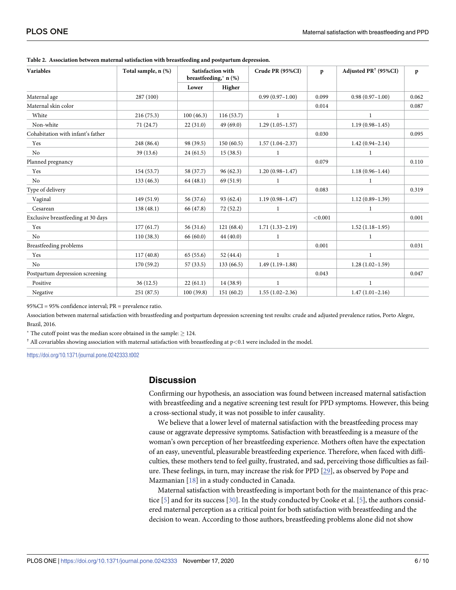| <b>Variables</b>                   | Total sample, n (%) | Satisfaction with<br>breastfeeding,* n (%) |             | Crude PR (95%CI)    | p       | Adjusted PR <sup>†</sup> (95%CI) | p     |
|------------------------------------|---------------------|--------------------------------------------|-------------|---------------------|---------|----------------------------------|-------|
|                                    |                     | Lower                                      | Higher      |                     |         |                                  |       |
| Maternal age                       | 287 (100)           |                                            |             | $0.99(0.97 - 1.00)$ | 0.099   | $0.98(0.97-1.00)$                | 0.062 |
| Maternal skin color                |                     |                                            |             |                     | 0.014   |                                  | 0.087 |
| White                              | 216(75.3)           | 100(46.3)                                  | 116(53.7)   | 1                   |         | $\mathbf{1}$                     |       |
| Non-white                          | 71 (24.7)           | 22(31.0)                                   | 49(69.0)    | $1.29(1.05-1.57)$   |         | $1.19(0.98 - 1.45)$              |       |
| Cohabitation with infant's father  |                     |                                            |             |                     | 0.030   |                                  | 0.095 |
| Yes                                | 248 (86.4)          | 98 (39.5)                                  | 150(60.5)   | $1.57(1.04-2.37)$   |         | $1.42(0.94 - 2.14)$              |       |
| N <sub>o</sub>                     | 39 (13.6)           | 24(61.5)                                   | 15(38.5)    | 1                   |         | 1                                |       |
| Planned pregnancy                  |                     |                                            |             |                     | 0.079   |                                  | 0.110 |
| Yes                                | 154 (53.7)          | 58 (37.7)                                  | 96(62.3)    | $1.20(0.98 - 1.47)$ |         | $1.18(0.96 - 1.44)$              |       |
| N <sub>o</sub>                     | 133(46.3)           | 64(48.1)                                   | 69 (51.9)   | 1                   |         | 1                                |       |
| Type of delivery                   |                     |                                            |             |                     | 0.083   |                                  | 0.319 |
| Vaginal                            | 149 (51.9)          | 56 (37.6)                                  | 93 (62.4)   | $1.19(0.98 - 1.47)$ |         | $1.12(0.89 - 1.39)$              |       |
| Cesarean                           | 138(48.1)           | 66 (47.8)                                  | 72(52.2)    | 1                   |         | 1                                |       |
| Exclusive breastfeeding at 30 days |                     |                                            |             |                     | < 0.001 |                                  | 0.001 |
| Yes                                | 177(61.7)           | 56 (31.6)                                  | 121(68.4)   | $1.71(1.33 - 2.19)$ |         | $1.52(1.18-1.95)$                |       |
| No                                 | 110(38.3)           | 66 (60.0)                                  | 44(40.0)    |                     |         |                                  |       |
| <b>Breastfeeding problems</b>      |                     |                                            |             |                     | 0.001   |                                  | 0.031 |
| Yes                                | 117(40.8)           | 65(55.6)                                   | 52 $(44.4)$ | 1                   |         | 1                                |       |
| N <sub>o</sub>                     | 170(59.2)           | 57 (33.5)                                  | 133 (66.5)  | $1.49(1.19-1.88)$   |         | $1.28(1.02 - 1.59)$              |       |
| Postpartum depression screening    |                     |                                            |             |                     | 0.043   |                                  | 0.047 |
| Positive                           | 36(12.5)            | 22(61.1)                                   | 14 (38.9)   | $\mathbf{1}$        |         | 1                                |       |
| Negative                           | 251 (87.5)          | 100(39.8)                                  | 151(60.2)   | $1.55(1.02-2.36)$   |         | $1.47(1.01-2.16)$                |       |

<span id="page-5-0"></span>**[Table](#page-4-0) 2. Association between maternal satisfaction with breastfeeding and postpartum depression.**

95%CI = 95% confidence interval; PR = prevalence ratio.

Association between maternal satisfaction with breastfeeding and postpartum depression screening test results: crude and adjusted prevalence ratios, Porto Alegre, Brazil, 2016.

 $*$  The cutoff point was the median score obtained in the sample:  $\geq$  124.

† All covariables showing association with maternal satisfaction with breastfeeding at p*<*0.1 were included in the model.

<https://doi.org/10.1371/journal.pone.0242333.t002>

#### **Discussion**

Confirming our hypothesis, an association was found between increased maternal satisfaction with breastfeeding and a negative screening test result for PPD symptoms. However, this being a cross-sectional study, it was not possible to infer causality.

We believe that a lower level of maternal satisfaction with the breastfeeding process may cause or aggravate depressive symptoms. Satisfaction with breastfeeding is a measure of the woman's own perception of her breastfeeding experience. Mothers often have the expectation of an easy, uneventful, pleasurable breastfeeding experience. Therefore, when faced with difficulties, these mothers tend to feel guilty, frustrated, and sad, perceiving those difficulties as failure. These feelings, in turn, may increase the risk for PPD [\[29\]](#page-9-0), as observed by Pope and Mazmanian [[18](#page-8-0)] in a study conducted in Canada.

Maternal satisfaction with breastfeeding is important both for the maintenance of this practice [[5\]](#page-7-0) and for its success [\[30\]](#page-9-0). In the study conducted by Cooke et al. [[5](#page-7-0)], the authors considered maternal perception as a critical point for both satisfaction with breastfeeding and the decision to wean. According to those authors, breastfeeding problems alone did not show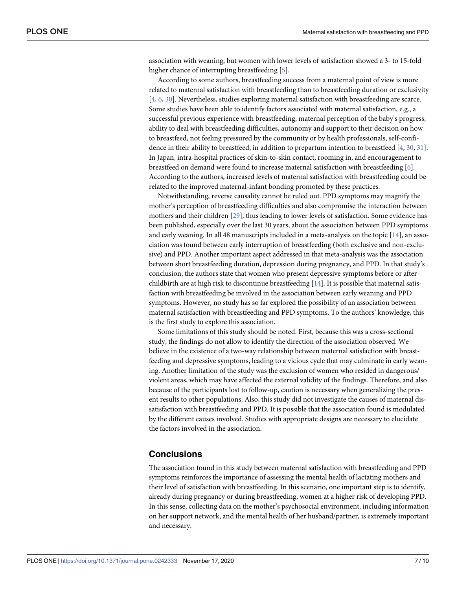<span id="page-6-0"></span>association with weaning, but women with lower levels of satisfaction showed a 3- to 15-fold higher chance of interrupting breastfeeding [\[5](#page-7-0)].

According to some authors, breastfeeding success from a maternal point of view is more related to maternal satisfaction with breastfeeding than to breastfeeding duration or exclusivity [\[4](#page-7-0), [6](#page-7-0), [30](#page-9-0)]. Nevertheless, studies exploring maternal satisfaction with breastfeeding are scarce. Some studies have been able to identify factors associated with maternal satisfaction, e.g., a successful previous experience with breastfeeding, maternal perception of the baby's progress, ability to deal with breastfeeding difficulties, autonomy and support to their decision on how to breastfeed, not feeling pressured by the community or by health professionals, self-confidence in their ability to breastfeed, in addition to prepartum intention to breastfeed [[4](#page-7-0), [30](#page-9-0), [31](#page-9-0)]. In Japan, intra-hospital practices of skin-to-skin contact, rooming in, and encouragement to breastfeed on demand were found to increase maternal satisfaction with breastfeeding [[6\]](#page-7-0). According to the authors, increased levels of maternal satisfaction with breastfeeding could be related to the improved maternal-infant bonding promoted by these practices.

Notwithstanding, reverse causality cannot be ruled out. PPD symptoms may magnify the mother's perception of breastfeeding difficulties and also compromise the interaction between mothers and their children [[29](#page-9-0)], thus leading to lower levels of satisfaction. Some evidence has been published, especially over the last 30 years, about the association between PPD symptoms and early weaning. In all 48 manuscripts included in a meta-analysis on the topic [\[14\]](#page-8-0), an association was found between early interruption of breastfeeding (both exclusive and non-exclusive) and PPD. Another important aspect addressed in that meta-analysis was the association between short breastfeeding duration, depression during pregnancy, and PPD. In that study's conclusion, the authors state that women who present depressive symptoms before or after childbirth are at high risk to discontinue breastfeeding [[14\]](#page-8-0). It is possible that maternal satisfaction with breastfeeding be involved in the association between early weaning and PPD symptoms. However, no study has so far explored the possibility of an association between maternal satisfaction with breastfeeding and PPD symptoms. To the authors' knowledge, this is the first study to explore this association.

Some limitations of this study should be noted. First, because this was a cross-sectional study, the findings do not allow to identify the direction of the association observed. We believe in the existence of a two-way relationship between maternal satisfaction with breastfeeding and depressive symptoms, leading to a vicious cycle that may culminate in early weaning. Another limitation of the study was the exclusion of women who resided in dangerous/ violent areas, which may have affected the external validity of the findings. Therefore, and also because of the participants lost to follow-up, caution is necessary when generalizing the present results to other populations. Also, this study did not investigate the causes of maternal dissatisfaction with breastfeeding and PPD. It is possible that the association found is modulated by the different causes involved. Studies with appropriate designs are necessary to elucidate the factors involved in the association.

## **Conclusions**

The association found in this study between maternal satisfaction with breastfeeding and PPD symptoms reinforces the importance of assessing the mental health of lactating mothers and their level of satisfaction with breastfeeding. In this scenario, one important step is to identify, already during pregnancy or during breastfeeding, women at a higher risk of developing PPD. In this sense, collecting data on the mother's psychosocial environment, including information on her support network, and the mental health of her husband/partner, is extremely important and necessary.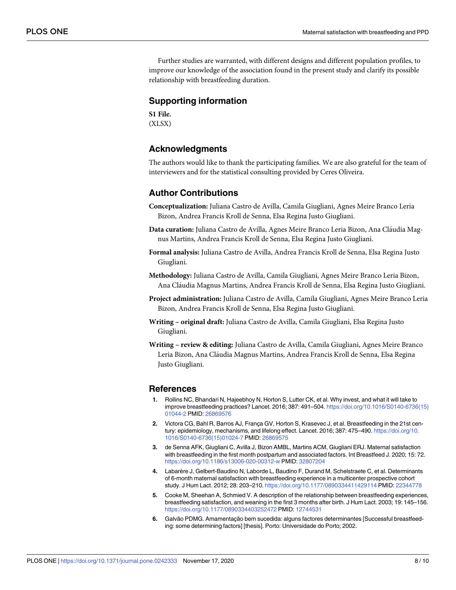<span id="page-7-0"></span>Further studies are warranted, with different designs and different population profiles, to improve our knowledge of the association found in the present study and clarify its possible relationship with breastfeeding duration.

## **Supporting information**

**S1 [File.](http://www.plosone.org/article/fetchSingleRepresentation.action?uri=info:doi/10.1371/journal.pone.0242333.s001)** (XLSX)

# **Acknowledgments**

The authors would like to thank the participating families. We are also grateful for the team of interviewers and for the statistical consulting provided by Ceres Oliveira.

## **Author Contributions**

- **Conceptualization:** Juliana Castro de Avilla, Camila Giugliani, Agnes Meire Branco Leria Bizon, Andrea Francis Kroll de Senna, Elsa Regina Justo Giugliani.
- Data curation: Juliana Castro de Avilla, Agnes Meire Branco Leria Bizon, Ana Cláudia Magnus Martins, Andrea Francis Kroll de Senna, Elsa Regina Justo Giugliani.
- **Formal analysis:** Juliana Castro de Avilla, Andrea Francis Kroll de Senna, Elsa Regina Justo Giugliani.
- **Methodology:** Juliana Castro de Avilla, Camila Giugliani, Agnes Meire Branco Leria Bizon, Ana Cláudia Magnus Martins, Andrea Francis Kroll de Senna, Elsa Regina Justo Giugliani.
- **Project administration:** Juliana Castro de Avilla, Camila Giugliani, Agnes Meire Branco Leria Bizon, Andrea Francis Kroll de Senna, Elsa Regina Justo Giugliani.
- **Writing – original draft:** Juliana Castro de Avilla, Camila Giugliani, Elsa Regina Justo Giugliani.
- **Writing – review & editing:** Juliana Castro de Avilla, Camila Giugliani, Agnes Meire Branco Leria Bizon, Ana Cláudia Magnus Martins, Andrea Francis Kroll de Senna, Elsa Regina Justo Giugliani.

#### **References**

- **[1](#page-1-0).** Rollins NC, Bhandari N, Hajeebhoy N, Horton S, Lutter CK, et al. Why invest, and what it will take to improve breastfeeding practices? Lancet. 2016; 387: 491–504. [https://doi.org/10.1016/S0140-6736\(15\)](https://doi.org/10.1016/S0140-6736%2815%2901044-2) [01044-2](https://doi.org/10.1016/S0140-6736%2815%2901044-2) PMID: [26869576](http://www.ncbi.nlm.nih.gov/pubmed/26869576)
- [2](#page-1-0). Victora CG, Bahl R, Barros AJ, França GV, Horton S, Krasevec J, et al. Breastfeeding in the 21st century: epidemiology, mechanisms, and lifelong effect. Lancet. 2016; 387: 475–490. [https://doi.org/10.](https://doi.org/10.1016/S0140-6736%2815%2901024-7) [1016/S0140-6736\(15\)01024-7](https://doi.org/10.1016/S0140-6736%2815%2901024-7) PMID: [26869575](http://www.ncbi.nlm.nih.gov/pubmed/26869575)
- **[3](#page-1-0).** de Senna AFK, Giugliani C, Avilla J, Bizon AMBL, Martins ACM, Giugliani ERJ. Maternal satisfaction with breastfeeding in the first month postpartum and associated factors. Int Breastfeed J. 2020; 15: 72. <https://doi.org/10.1186/s13006-020-00312-w> PMID: [32807204](http://www.ncbi.nlm.nih.gov/pubmed/32807204)
- **[4](#page-1-0).** Labarère J, Gelbert-Baudino N, Laborde L, Baudino F, Durand M, Schelstraete C, et al. Determinants of 6-month maternal satisfaction with breastfeeding experience in a multicenter prospective cohort study. J Hum Lact. 2012; 28: 203–210. <https://doi.org/10.1177/0890334411429114> PMID: [22344778](http://www.ncbi.nlm.nih.gov/pubmed/22344778)
- **[5](#page-1-0).** Cooke M, Sheehan A, Schmied V. A description of the relationship between breastfeeding experiences, breastfeeding satisfaction, and weaning in the first 3 months after birth. J Hum Lact. 2003; 19: 145–156. <https://doi.org/10.1177/0890334403252472> PMID: [12744531](http://www.ncbi.nlm.nih.gov/pubmed/12744531)
- **[6](#page-6-0).** Galvão PDMG. Amamentação bem sucedida: alguns factores determinantes [Successful breastfeeding: some determining factors] [thesis]. Porto: Universidade do Porto; 2002.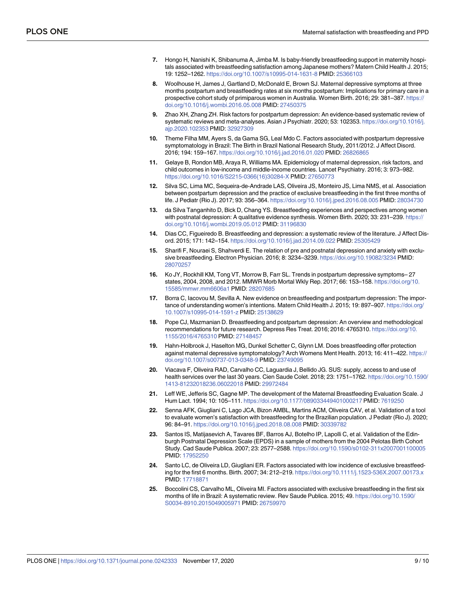- <span id="page-8-0"></span>**[7](#page-1-0).** Hongo H, Nanishi K, Shibanuma A, Jimba M. Is baby-friendly breastfeeding support in maternity hospitals associated with breastfeeding satisfaction among Japanese mothers? Matern Child Health J. 2015; 19: 1252–1262. <https://doi.org/10.1007/s10995-014-1631-8> PMID: [25366103](http://www.ncbi.nlm.nih.gov/pubmed/25366103)
- **[8](#page-1-0).** Woolhouse H, James J, Gartland D, McDonald E, Brown SJ. Maternal depressive symptoms at three months postpartum and breastfeeding rates at six months postpartum: Implications for primary care in a prospective cohort study of primiparous women in Australia. Women Birth. 2016; 29: 381–387. [https://](https://doi.org/10.1016/j.wombi.2016.05.008) [doi.org/10.1016/j.wombi.2016.05.008](https://doi.org/10.1016/j.wombi.2016.05.008) PMID: [27450375](http://www.ncbi.nlm.nih.gov/pubmed/27450375)
- **[9](#page-1-0).** Zhao XH, Zhang ZH. Risk factors for postpartum depression: An evidence-based systematic review of systematic reviews and meta-analyses. Asian J Psychiatr. 2020; 53: 102353. [https://doi.org/10.1016/j.](https://doi.org/10.1016/j.ajp.2020.102353) [ajp.2020.102353](https://doi.org/10.1016/j.ajp.2020.102353) PMID: [32927309](http://www.ncbi.nlm.nih.gov/pubmed/32927309)
- **[10](#page-1-0).** Theme Filha MM, Ayers S, da Gama SG, Leal Mdo C. Factors associated with postpartum depressive symptomatology in Brazil: The Birth in Brazil National Research Study, 2011/2012. J Affect Disord. 2016; 194: 159–167. <https://doi.org/10.1016/j.jad.2016.01.020> PMID: [26826865](http://www.ncbi.nlm.nih.gov/pubmed/26826865)
- **11.** Gelaye B, Rondon MB, Araya R, Williams MA. Epidemiology of maternal depression, risk factors, and child outcomes in low-income and middle-income countries. Lancet Psychiatry. 2016; 3: 973–982. [https://doi.org/10.1016/S2215-0366\(16\)30284-X](https://doi.org/10.1016/S2215-0366%2816%2930284-X) PMID: [27650773](http://www.ncbi.nlm.nih.gov/pubmed/27650773)
- **[12](#page-1-0).** Silva SC, Lima MC, Sequeira-de-Andrade LAS, Oliveira JS, Monteiro JS, Lima NMS, et al. Association between postpartum depression and the practice of exclusive breastfeeding in the first three months of life. J Pediatr (Rio J). 2017; 93: 356–364. <https://doi.org/10.1016/j.jped.2016.08.005> PMID: [28034730](http://www.ncbi.nlm.nih.gov/pubmed/28034730)
- **[13](#page-1-0).** da Silva Tanganhito D, Bick D, Chang YS. Breastfeeding experiences and perspectives among women with postnatal depression: A qualitative evidence synthesis. Women Birth. 2020; 33: 231–239. [https://](https://doi.org/10.1016/j.wombi.2019.05.012) [doi.org/10.1016/j.wombi.2019.05.012](https://doi.org/10.1016/j.wombi.2019.05.012) PMID: [31196830](http://www.ncbi.nlm.nih.gov/pubmed/31196830)
- **[14](#page-1-0).** Dias CC, Figueiredo B. Breastfeeding and depression: a systematic review of the literature. J Affect Disord. 2015; 171: 142–154. <https://doi.org/10.1016/j.jad.2014.09.022> PMID: [25305429](http://www.ncbi.nlm.nih.gov/pubmed/25305429)
- **15.** Sharifi F, Nouraei S, Shahverdi E. The relation of pre and postnatal depression and anxiety with exclusive breastfeeding. Electron Physician. 2016; 8: 3234–3239. <https://doi.org/10.19082/3234> PMID: [28070257](http://www.ncbi.nlm.nih.gov/pubmed/28070257)
- **[16](#page-1-0).** Ko JY, Rockhill KM, Tong VT, Morrow B, Farr SL. Trends in postpartum depressive symptoms– 27 states, 2004, 2008, and 2012. MMWR Morb Mortal Wkly Rep. 2017; 66: 153–158. [https://doi.org/10.](https://doi.org/10.15585/mmwr.mm6606a1) [15585/mmwr.mm6606a1](https://doi.org/10.15585/mmwr.mm6606a1) PMID: [28207685](http://www.ncbi.nlm.nih.gov/pubmed/28207685)
- **[17](#page-1-0).** Borra C, Iacovou M, Sevilla A. New evidence on breastfeeding and postpartum depression: The importance of understanding women's intentions. Matern Child Health J. 2015; 19: 897–907. [https://doi.org/](https://doi.org/10.1007/s10995-014-1591-z) [10.1007/s10995-014-1591-z](https://doi.org/10.1007/s10995-014-1591-z) PMID: [25138629](http://www.ncbi.nlm.nih.gov/pubmed/25138629)
- **[18](#page-1-0).** Pope CJ, Mazmanian D. Breastfeeding and postpartum depression: An overview and methodological recommendations for future research. Depress Res Treat. 2016; 2016: 4765310. [https://doi.org/10.](https://doi.org/10.1155/2016/4765310) [1155/2016/4765310](https://doi.org/10.1155/2016/4765310) PMID: [27148457](http://www.ncbi.nlm.nih.gov/pubmed/27148457)
- **[19](#page-1-0).** Hahn-Holbrook J, Haselton MG, Dunkel Schetter C, Glynn LM. Does breastfeeding offer protection against maternal depressive symptomatology? Arch Womens Ment Health. 2013; 16: 411–422. [https://](https://doi.org/10.1007/s00737-013-0348-9) [doi.org/10.1007/s00737-013-0348-9](https://doi.org/10.1007/s00737-013-0348-9) PMID: [23749095](http://www.ncbi.nlm.nih.gov/pubmed/23749095)
- **[20](#page-2-0).** Viacava F, Oliveira RAD, Carvalho CC, Laguardia J, Bellido JG. SUS: supply, access to and use of health services over the last 30 years. Cien Saude Colet. 2018; 23: 1751–1762. [https://doi.org/10.1590/](https://doi.org/10.1590/1413-81232018236.06022018) [1413-81232018236.06022018](https://doi.org/10.1590/1413-81232018236.06022018) PMID: [29972484](http://www.ncbi.nlm.nih.gov/pubmed/29972484)
- **[21](#page-2-0).** Leff WE, Jefferis SC, Gagne MP. The development of the Maternal Breastfeeding Evaluation Scale. J Hum Lact. 1994; 10: 105–111. <https://doi.org/10.1177/089033449401000217> PMID: [7619250](http://www.ncbi.nlm.nih.gov/pubmed/7619250)
- **[22](#page-2-0).** Senna AFK, Giugliani C, Lago JCA, Bizon AMBL, Martins ACM, Oliveira CAV, et al. Validation of a tool to evaluate women's satisfaction with breastfeeding for the Brazilian population. J Pediatr (Rio J). 2020; 96: 84–91. <https://doi.org/10.1016/j.jped.2018.08.008> PMID: [30339782](http://www.ncbi.nlm.nih.gov/pubmed/30339782)
- **[23](#page-2-0).** Santos IS, Matijasevich A, Tavares BF, Barros AJ, Botelho IP, Lapolli C, et al. Validation of the Edinburgh Postnatal Depression Scale (EPDS) in a sample of mothers from the 2004 Pelotas Birth Cohort Study. Cad Saude Publica. 2007; 23: 2577–2588. <https://doi.org/10.1590/s0102-311x2007001100005> PMID: [17952250](http://www.ncbi.nlm.nih.gov/pubmed/17952250)
- **[24](#page-3-0).** Santo LC, de Oliveira LD, Giugliani ER. Factors associated with low incidence of exclusive breastfeeding for the first 6 months. Birth. 2007; 34: 212–219. <https://doi.org/10.1111/j.1523-536X.2007.00173.x> PMID: [17718871](http://www.ncbi.nlm.nih.gov/pubmed/17718871)
- **25.** Boccolini CS, Carvalho ML, Oliveira MI. Factors associated with exclusive breastfeeding in the first six months of life in Brazil: A systematic review. Rev Saude Publica. 2015; 49. [https://doi.org/10.1590/](https://doi.org/10.1590/S0034-8910.2015049005971) [S0034-8910.2015049005971](https://doi.org/10.1590/S0034-8910.2015049005971) PMID: [26759970](http://www.ncbi.nlm.nih.gov/pubmed/26759970)